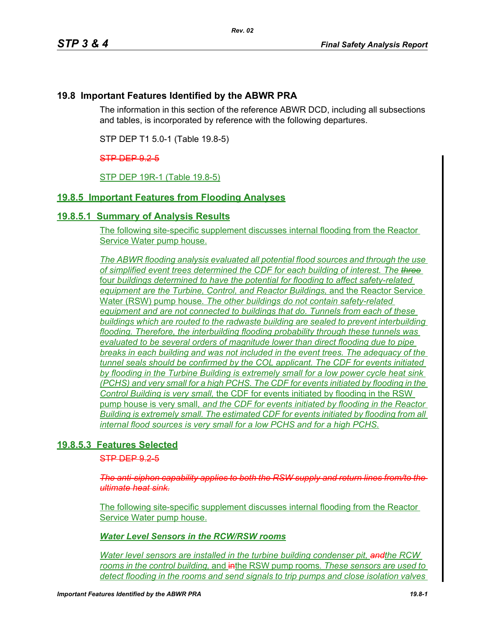# **19.8 Important Features Identified by the ABWR PRA**

The information in this section of the reference ABWR DCD, including all subsections and tables, is incorporated by reference with the following departures.

STP DEP T1 5.0-1 (Table 19.8-5)

#### STP DEP 9.2-5

STP DEP 19R-1 (Table 19.8-5)

# **19.8.5 Important Features from Flooding Analyses**

## **19.8.5.1 Summary of Analysis Results**

The following site-specific supplement discusses internal flooding from the Reactor Service Water pump house.

*The ABWR flooding analysis evaluated all potential flood sources and through the use of simplified event trees determined the CDF for each building of interest. The three* four *buildings determined to have the potential for flooding to affect safety-related equipment are the Turbine, Control, and Reactor Buildings,* and the Reactor Service Water (RSW) pump house*. The other buildings do not contain safety-related equipment and are not connected to buildings that do. Tunnels from each of these buildings which are routed to the radwaste building are sealed to prevent interbuilding flooding. Therefore, the interbuilding flooding probability through these tunnels was evaluated to be several orders of magnitude lower than direct flooding due to pipe breaks in each building and was not included in the event trees. The adequacy of the tunnel seals should be confirmed by the COL applicant. The CDF for events initiated by flooding in the Turbine Building is extremely small for a low power cycle heat sink (PCHS) and very small for a high PCHS. The CDF for events initiated by flooding in the Control Building is very small,* the CDF for events initiated by flooding in the RSW pump house is very small*, and the CDF for events initiated by flooding in the Reactor Building is extremely small. The estimated CDF for events initiated by flooding from all internal flood sources is very small for a low PCHS and for a high PCHS.*

## **19.8.5.3 Features Selected**

STP DEP 925

*The anti-siphon capability applies to both the RSW supply and return lines from/to the ultimate heat sink.*

The following site-specific supplement discusses internal flooding from the Reactor Service Water pump house.

*Water Level Sensors in the RCW/RSW rooms*

*Water level sensors are installed in the turbine building condenser pit, andthe RCW rooms in the control building, and in Americal pump rooms. These sensors are used to detect flooding in the rooms and send signals to trip pumps and close isolation valves*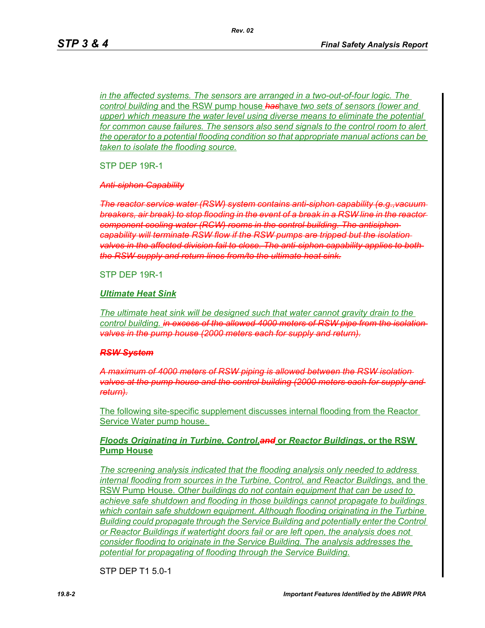*in the affected systems. The sensors are arranged in a two-out-of-four logic. The control building* and the RSW pump house *has*have *two sets of sensors (lower and upper)* which measure the water level using diverse means to eliminate the potential *for common cause failures. The sensors also send signals to the control room to alert the operator to a potential flooding condition so that appropriate manual actions can be taken to isolate the flooding source.*

*Rev. 02*

STP DEP 19R-1

*Anti-siphon Capability*

*The reactor service water (RSW) system contains anti-siphon capability (e.g.,vacuum breakers, air break) to stop flooding in the event of a break in a RSW line in the reactor component cooling water (RCW) rooms in the control building. The antisiphon capability will terminate RSW flow if the RSW pumps are tripped but the isolation valves in the affected division fail to close. The anti-siphon capability applies to both the RSW supply and return lines from/to the ultimate heat sink.*

STP DEP 19R-1

#### *Ultimate Heat Sink*

*The ultimate heat sink will be designed such that water cannot gravity drain to the*  control building. in excess of the allowed 4000 meters of RSW pipe from the isolation *valves in the pump house (2000 meters each for supply and return).*

#### *RSW System*

*A maximum of 4000 meters of RSW piping is allowed between the RSW isolation valves at the pump house and the control building (2000 meters each for supply and return).*

The following site-specific supplement discusses internal flooding from the Reactor Service Water pump house.

## *Floods Originating in Turbine, Control,and* **or** *Reactor Buildings,* **or the RSW Pump House**

*The screening analysis indicated that the flooding analysis only needed to address internal flooding from sources in the Turbine, Control, and Reactor Buildings,* and the RSW Pump House. *Other buildings do not contain equipment that can be used to achieve safe shutdown and flooding in those buildings cannot propagate to buildings which contain safe shutdown equipment. Although flooding originating in the Turbine Building could propagate through the Service Building and potentially enter the Control or Reactor Buildings if watertight doors fail or are left open, the analysis does not consider flooding to originate in the Service Building. The analysis addresses the potential for propagating of flooding through the Service Building.*

STP DEP T1 5.0-1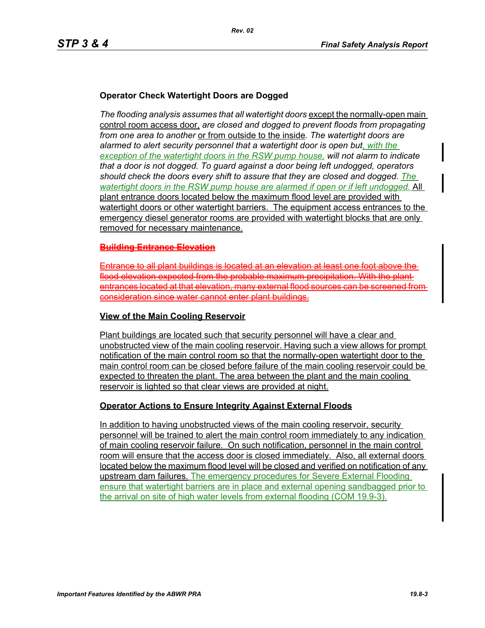# **Operator Check Watertight Doors are Dogged**

*The flooding analysis assumes that all watertight doors* except the normally-open main control room access door, *are closed and dogged to prevent floods from propagating from one area to another* or from outside to the inside*. The watertight doors are alarmed to alert security personnel that a watertight door is open but, with the exception of the watertight doors in the RSW pump house, will not alarm to indicate that a door is not dogged. To guard against a door being left undogged, operators should check the doors every shift to assure that they are closed and dogged. The watertight doors in the RSW pump house are alarmed if open or if left undogged.* All plant entrance doors located below the maximum flood level are provided with watertight doors or other watertight barriers. The equipment access entrances to the emergency diesel generator rooms are provided with watertight blocks that are only removed for necessary maintenance.

## **Building Entrance Elevation**

Entrance to all plant buildings is located at an elevation at least one foot flood elevation expected from the probable maximum precipitation. With the pla entrances located at that elevation, many external flood sources can consideration since water cannot enter plant buildings.

#### **View of the Main Cooling Reservoir**

Plant buildings are located such that security personnel will have a clear and unobstructed view of the main cooling reservoir. Having such a view allows for prompt notification of the main control room so that the normally-open watertight door to the main control room can be closed before failure of the main cooling reservoir could be expected to threaten the plant. The area between the plant and the main cooling reservoir is lighted so that clear views are provided at night.

## **Operator Actions to Ensure Integrity Against External Floods**

In addition to having unobstructed views of the main cooling reservoir, security personnel will be trained to alert the main control room immediately to any indication of main cooling reservoir failure. On such notification, personnel in the main control room will ensure that the access door is closed immediately. Also, all external doors located below the maximum flood level will be closed and verified on notification of any upstream dam failures. The emergency procedures for Severe External Flooding ensure that watertight barriers are in place and external opening sandbagged prior to the arrival on site of high water levels from external flooding (COM 19.9-3).